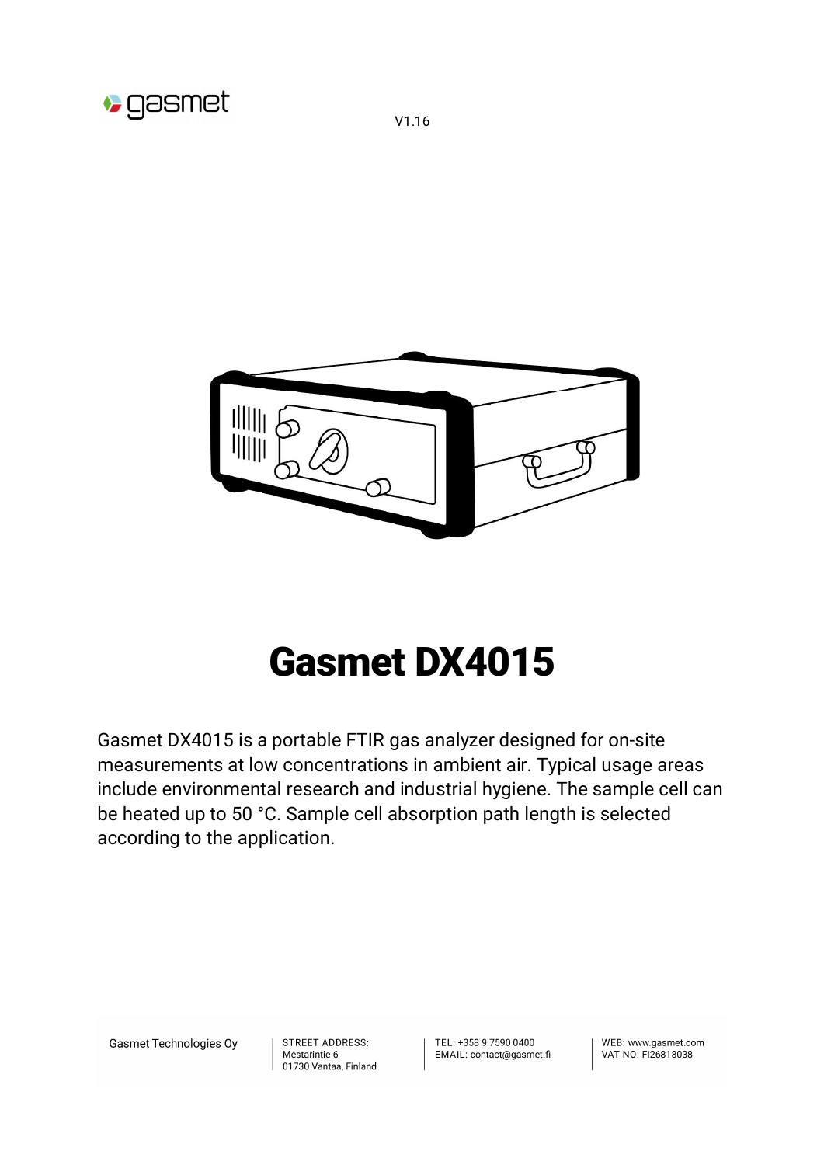

V1.16

# Gasmet DX4015

Gasmet DX4015 is a portable FTIR gas analyzer designed for on-site measurements at low concentrations in ambient air. Typical usage areas include environmental research and industrial hygiene. The sample cell can be heated up to 50 °C. Sample cell absorption path length is selected according to the application.

Gasmet Technologies Oy

**STREET ADDRESS:** Mestarintie 6 01730 Vantaa, Finland TFL: +358 9 7590 0400 EMAIL: contact@gasmet.fi

WFB: www.gasmet.com VAT NO: FI26818038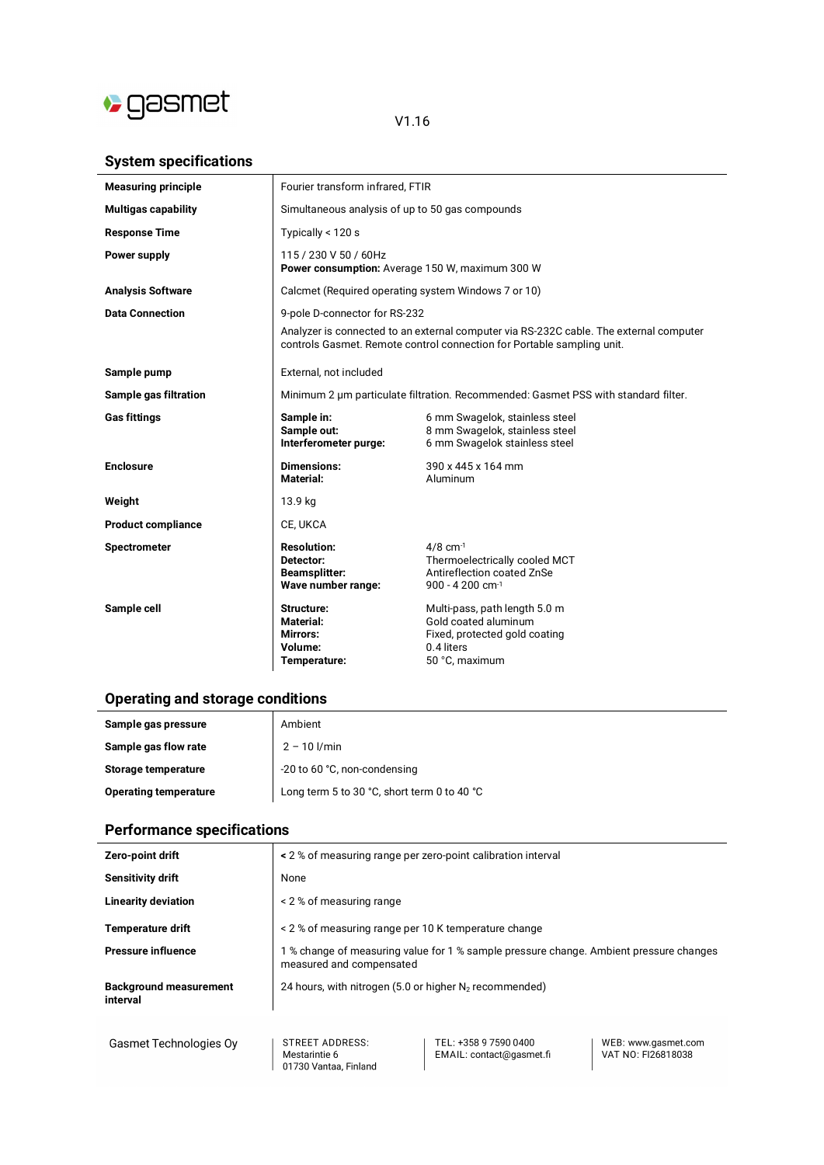

### V1.16

#### **System specifications**

| <b>Measuring principle</b>   | Fourier transform infrared, FTIR                                                   |                                                                                                                                                                  |
|------------------------------|------------------------------------------------------------------------------------|------------------------------------------------------------------------------------------------------------------------------------------------------------------|
| <b>Multigas capability</b>   | Simultaneous analysis of up to 50 gas compounds                                    |                                                                                                                                                                  |
| <b>Response Time</b>         | Typically $<$ 120 s                                                                |                                                                                                                                                                  |
| Power supply                 | 115 / 230 V 50 / 60Hz<br>Power consumption: Average 150 W, maximum 300 W           |                                                                                                                                                                  |
| <b>Analysis Software</b>     | Calcmet (Required operating system Windows 7 or 10)                                |                                                                                                                                                                  |
| <b>Data Connection</b>       | 9-pole D-connector for RS-232                                                      |                                                                                                                                                                  |
|                              |                                                                                    | Analyzer is connected to an external computer via RS-232C cable. The external computer<br>controls Gasmet. Remote control connection for Portable sampling unit. |
| Sample pump                  | External, not included                                                             |                                                                                                                                                                  |
| <b>Sample gas filtration</b> | Minimum 2 um particulate filtration. Recommended: Gasmet PSS with standard filter. |                                                                                                                                                                  |
| <b>Gas fittings</b>          | Sample in:<br>Sample out:<br>Interferometer purge:                                 | 6 mm Swagelok, stainless steel<br>8 mm Swagelok, stainless steel<br>6 mm Swagelok stainless steel                                                                |
| <b>Enclosure</b>             | <b>Dimensions:</b><br>Material:                                                    | 390 x 445 x 164 mm<br>Aluminum                                                                                                                                   |
| Weight                       | 13.9 kg                                                                            |                                                                                                                                                                  |
| <b>Product compliance</b>    | CE, UKCA                                                                           |                                                                                                                                                                  |
| <b>Spectrometer</b>          | <b>Resolution:</b><br>Detector:<br><b>Beamsplitter:</b><br>Wave number range:      | $4/8$ cm <sup>-1</sup><br>Thermoelectrically cooled MCT<br>Antireflection coated ZnSe<br>900 - 4 200 cm-1                                                        |
| Sample cell                  | Structure:<br><b>Material:</b><br>Mirrors:<br>Volume:<br>Temperature:              | Multi-pass, path length 5.0 m<br>Gold coated aluminum<br>Fixed, protected gold coating<br>0.4 liters<br>50 °C, maximum                                           |

## **Operating and storage conditions**

| Sample gas pressure          | Ambient                                     |
|------------------------------|---------------------------------------------|
| Sample gas flow rate         | $2 - 10$ $1/min$                            |
| Storage temperature          | -20 to 60 °C, non-condensing                |
| <b>Operating temperature</b> | Long term 5 to 30 °C, short term 0 to 40 °C |

# **Performance specifications**

| Zero-point drift                          | < 2 % of measuring range per zero-point calibration interval                                                                                                |  |
|-------------------------------------------|-------------------------------------------------------------------------------------------------------------------------------------------------------------|--|
| Sensitivity drift                         | None                                                                                                                                                        |  |
| <b>Linearity deviation</b>                | < 2 % of measuring range                                                                                                                                    |  |
| <b>Temperature drift</b>                  | < 2 % of measuring range per 10 K temperature change                                                                                                        |  |
| <b>Pressure influence</b>                 | 1 % change of measuring value for 1 % sample pressure change. Ambient pressure changes<br>measured and compensated                                          |  |
| <b>Background measurement</b><br>interval | 24 hours, with nitrogen (5.0 or higher $N_2$ recommended)                                                                                                   |  |
| Gasmet Technologies Oy                    | STREET ADDRESS:<br>TEL: +358 9 7590 0400<br>WEB: www.gasmet.com<br>VAT NO: FI26818038<br>Mestarintie 6<br>EMAIL: contact@gasmet.fi<br>01730 Vantaa, Finland |  |